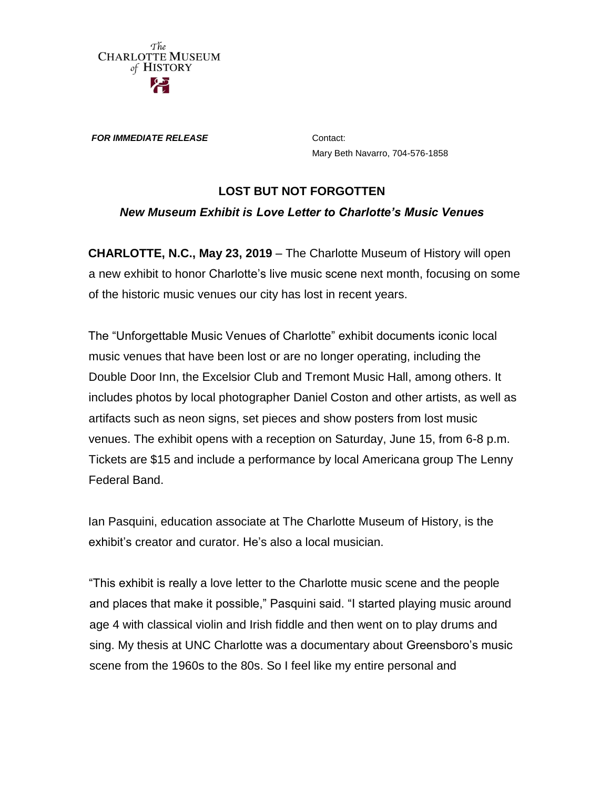

*FOR IMMEDIATE RELEASE* Contact:

Mary Beth Navarro, 704-576-1858

## **LOST BUT NOT FORGOTTEN** *New Museum Exhibit is Love Letter to Charlotte's Music Venues*

**CHARLOTTE, N.C., May 23, 2019** – The Charlotte Museum of History will open a new exhibit to honor Charlotte's live music scene next month, focusing on some of the historic music venues our city has lost in recent years.

The "Unforgettable Music Venues of Charlotte" exhibit documents iconic local music venues that have been lost or are no longer operating, including the Double Door Inn, the Excelsior Club and Tremont Music Hall, among others. It includes photos by local photographer Daniel Coston and other artists, as well as artifacts such as neon signs, set pieces and show posters from lost music venues. The exhibit opens with a reception on Saturday, June 15, from 6-8 p.m. Tickets are \$15 and include a performance by local Americana group The Lenny Federal Band.

Ian Pasquini, education associate at The Charlotte Museum of History, is the exhibit's creator and curator. He's also a local musician.

"This exhibit is really a love letter to the Charlotte music scene and the people and places that make it possible," Pasquini said. "I started playing music around age 4 with classical violin and Irish fiddle and then went on to play drums and sing. My thesis at UNC Charlotte was a documentary about Greensboro's music scene from the 1960s to the 80s. So I feel like my entire personal and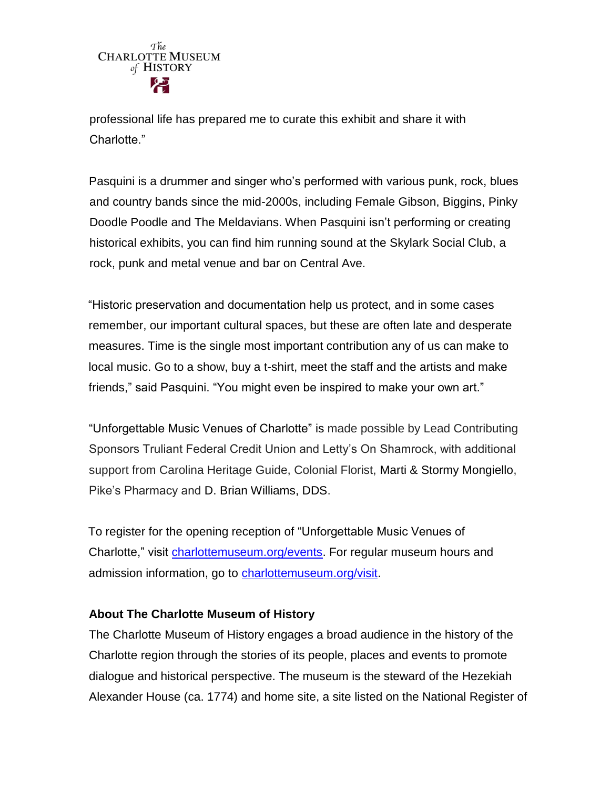

professional life has prepared me to curate this exhibit and share it with Charlotte."

Pasquini is a drummer and singer who's performed with various punk, rock, blues and country bands since the mid-2000s, including Female Gibson, Biggins, Pinky Doodle Poodle and The Meldavians. When Pasquini isn't performing or creating historical exhibits, you can find him running sound at the Skylark Social Club, a rock, punk and metal venue and bar on Central Ave.

"Historic preservation and documentation help us protect, and in some cases remember, our important cultural spaces, but these are often late and desperate measures. Time is the single most important contribution any of us can make to local music. Go to a show, buy a t-shirt, meet the staff and the artists and make friends," said Pasquini. "You might even be inspired to make your own art."

"Unforgettable Music Venues of Charlotte" is made possible by Lead Contributing Sponsors Truliant Federal Credit Union and Letty's On Shamrock, with additional support from Carolina Heritage Guide, Colonial Florist, Marti & Stormy Mongiello, Pike's Pharmacy and D. Brian Williams, DDS.

To register for the opening reception of "Unforgettable Music Venues of Charlotte," visit [charlottemuseum.org/events.](http://charlottemuseum.org/tc-events/) For regular museum hours and admission information, go to [charlottemuseum.org/visit.](http://charlottemuseum.org/visit/)

## **About The Charlotte Museum of History**

The Charlotte Museum of History engages a broad audience in the history of the Charlotte region through the stories of its people, places and events to promote dialogue and historical perspective. The museum is the steward of the Hezekiah Alexander House (ca. 1774) and home site, a site listed on the National Register of